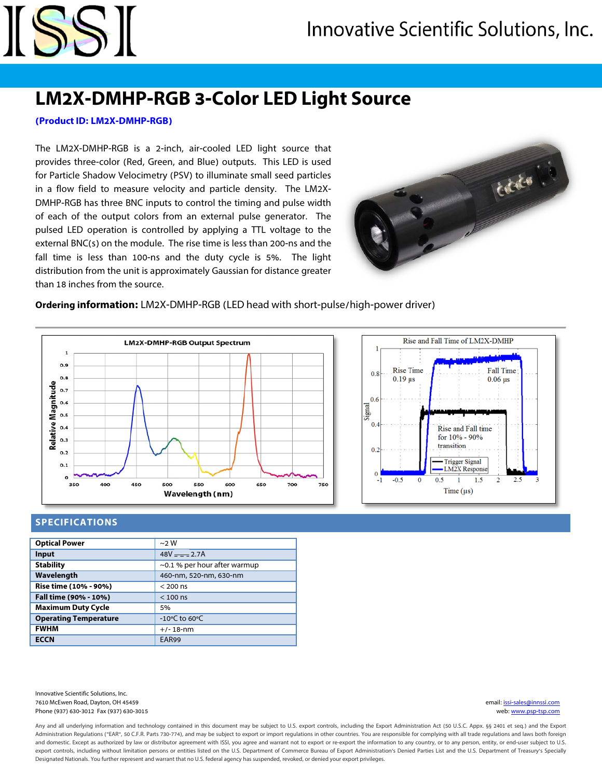## **LM2X-DMHP-RGB 3-Color LED Light Source**

#### **(Product ID: LM2X-DMHP-RGB)**

ISSI

The LM2X-DMHP-RGB is a 2-inch, air-cooled LED light source that provides three-color (Red, Green, and Blue) outputs. This LED is used for Particle Shadow Velocimetry (PSV) to illuminate small seed particles in a flow field to measure velocity and particle density. The LM2X-DMHP-RGB has three BNC inputs to control the timing and pulse width of each of the output colors from an external pulse generator. The pulsed LED operation is controlled by applying a TTL voltage to the external BNC(s) on the module. The rise time is less than 200-ns and the fall time is less than 100-ns and the duty cycle is 5%. The light distribution from the unit is approximately Gaussian for distance greater than 18 inches from the source.



#### **Ordering information:** LM2X-DMHP-RGB (LED head with short-pulse/high-power driver)





#### **SPECIFICATIONS**

| <b>Optical Power</b>         | $\sim$ 2 W                         |
|------------------------------|------------------------------------|
| Input                        | $48V = -2.7A$                      |
| <b>Stability</b>             | $\sim$ 0.1 % per hour after warmup |
| Wavelength                   | 460-nm, 520-nm, 630-nm             |
| Rise time (10% - 90%)        | $< 200$ ns                         |
| Fall time (90% - 10%)        | $< 100$ ns                         |
| <b>Maximum Duty Cycle</b>    | 5%                                 |
| <b>Operating Temperature</b> | -10°C to 60°C                      |
| <b>FWHM</b>                  | $+/- 18 - nm$                      |
| <b>ECCN</b>                  | EAR99                              |
|                              |                                    |

Innovative Scientific Solutions, Inc. 7610 McEwen Road, Dayton, OH 45459 email: [issi-sales@innssi.com](mailto:issi-sales@innssi.com) Phone (937) 630-3012 Fax (937) 630-3015 web[: www.psp-tsp.com](http://www.psp-tsp.com/)

Any and all underlying information and technology contained in this document may be subject to U.S. export controls, including the Export Administration Act (50 U.S.C. Appx. §§ 2401 et seq.) and the Export Administration Regulations ("EAR", 50 C.F.R. Parts 730-774), and may be subject to export or import regulations in other countries. You are responsible for complying with all trade regulations and laws both foreign and domestic. Except as authorized by law or distributor agreement with ISSI, you agree and warrant not to export or re-export the information to any country, or to any person, entity, or end-user subject to U.S. export controls, including without limitation persons or entities listed on the U.S. Department of Commerce Bureau of Export Administration's Denied Parties List and the U.S. Department of Treasury's Specially Designated Nationals. You further represent and warrant that no U.S. federal agency has suspended, revoked, or denied your export privileges.